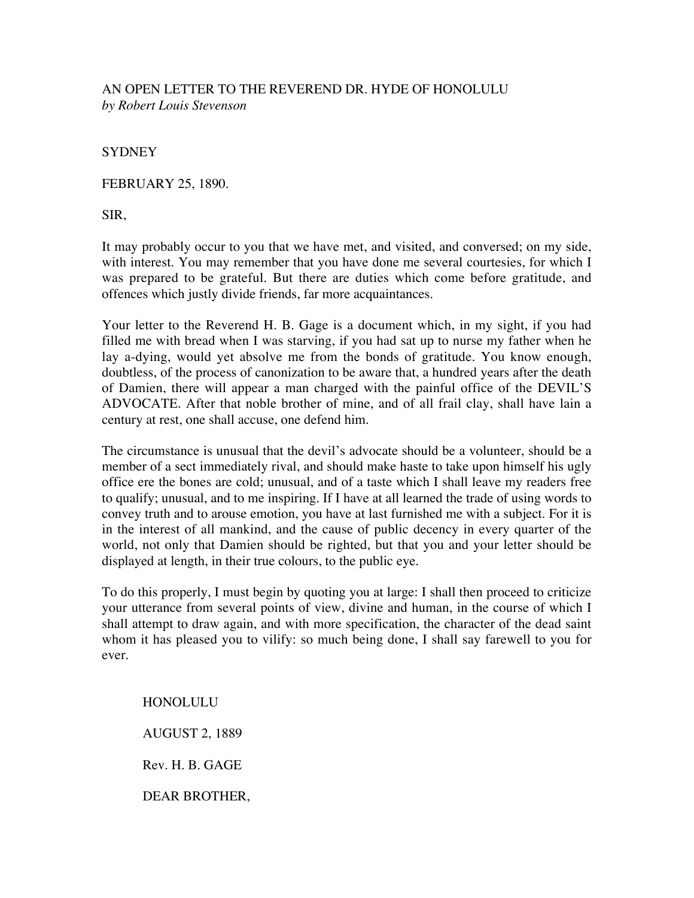# AN OPEN LETTER TO THE REVEREND DR. HYDE OF HONOLULU *by Robert Louis Stevenson*

**SYDNEY** 

FEBRUARY 25, 1890.

SIR,

It may probably occur to you that we have met, and visited, and conversed; on my side, with interest. You may remember that you have done me several courtesies, for which I was prepared to be grateful. But there are duties which come before gratitude, and offences which justly divide friends, far more acquaintances.

Your letter to the Reverend H. B. Gage is a document which, in my sight, if you had filled me with bread when I was starving, if you had sat up to nurse my father when he lay a-dying, would yet absolve me from the bonds of gratitude. You know enough, doubtless, of the process of canonization to be aware that, a hundred years after the death of Damien, there will appear a man charged with the painful office of the DEVIL'S ADVOCATE. After that noble brother of mine, and of all frail clay, shall have lain a century at rest, one shall accuse, one defend him.

The circumstance is unusual that the devil's advocate should be a volunteer, should be a member of a sect immediately rival, and should make haste to take upon himself his ugly office ere the bones are cold; unusual, and of a taste which I shall leave my readers free to qualify; unusual, and to me inspiring. If I have at all learned the trade of using words to convey truth and to arouse emotion, you have at last furnished me with a subject. For it is in the interest of all mankind, and the cause of public decency in every quarter of the world, not only that Damien should be righted, but that you and your letter should be displayed at length, in their true colours, to the public eye.

To do this properly, I must begin by quoting you at large: I shall then proceed to criticize your utterance from several points of view, divine and human, in the course of which I shall attempt to draw again, and with more specification, the character of the dead saint whom it has pleased you to vilify: so much being done, I shall say farewell to you for ever.

HONOLULU AUGUST 2, 1889 Rev. H. B. GAGE DEAR BROTHER,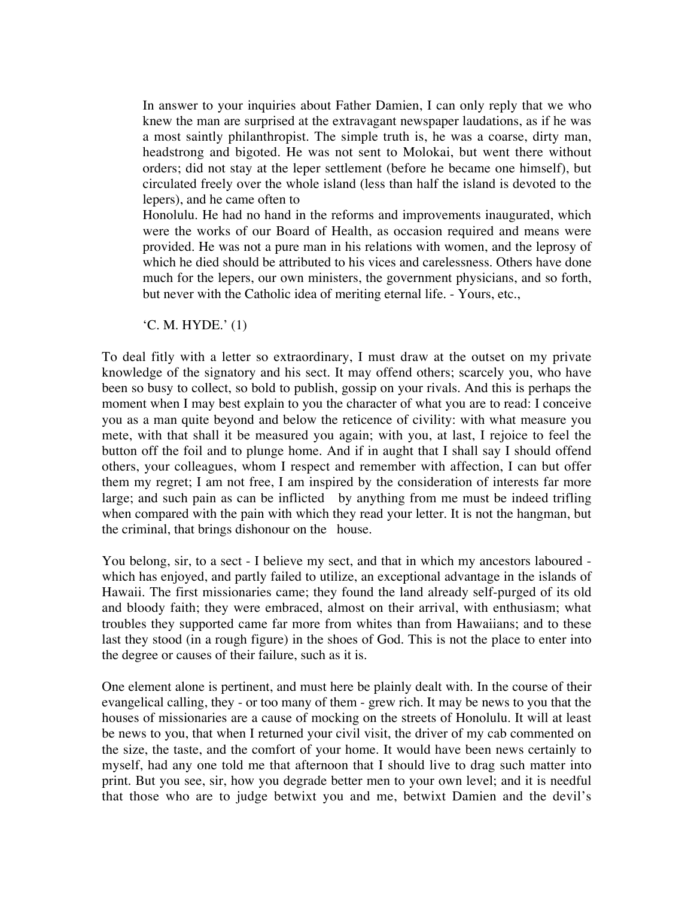In answer to your inquiries about Father Damien, I can only reply that we who knew the man are surprised at the extravagant newspaper laudations, as if he was a most saintly philanthropist. The simple truth is, he was a coarse, dirty man, headstrong and bigoted. He was not sent to Molokai, but went there without orders; did not stay at the leper settlement (before he became one himself), but circulated freely over the whole island (less than half the island is devoted to the lepers), and he came often to

Honolulu. He had no hand in the reforms and improvements inaugurated, which were the works of our Board of Health, as occasion required and means were provided. He was not a pure man in his relations with women, and the leprosy of which he died should be attributed to his vices and carelessness. Others have done much for the lepers, our own ministers, the government physicians, and so forth, but never with the Catholic idea of meriting eternal life. - Yours, etc.,

'C. M. HYDE.' (1)

To deal fitly with a letter so extraordinary, I must draw at the outset on my private knowledge of the signatory and his sect. It may offend others; scarcely you, who have been so busy to collect, so bold to publish, gossip on your rivals. And this is perhaps the moment when I may best explain to you the character of what you are to read: I conceive you as a man quite beyond and below the reticence of civility: with what measure you mete, with that shall it be measured you again; with you, at last, I rejoice to feel the button off the foil and to plunge home. And if in aught that I shall say I should offend others, your colleagues, whom I respect and remember with affection, I can but offer them my regret; I am not free, I am inspired by the consideration of interests far more large; and such pain as can be inflicted by anything from me must be indeed trifling when compared with the pain with which they read your letter. It is not the hangman, but the criminal, that brings dishonour on the house.

You belong, sir, to a sect - I believe my sect, and that in which my ancestors laboured which has enjoyed, and partly failed to utilize, an exceptional advantage in the islands of Hawaii. The first missionaries came; they found the land already self-purged of its old and bloody faith; they were embraced, almost on their arrival, with enthusiasm; what troubles they supported came far more from whites than from Hawaiians; and to these last they stood (in a rough figure) in the shoes of God. This is not the place to enter into the degree or causes of their failure, such as it is.

One element alone is pertinent, and must here be plainly dealt with. In the course of their evangelical calling, they - or too many of them - grew rich. It may be news to you that the houses of missionaries are a cause of mocking on the streets of Honolulu. It will at least be news to you, that when I returned your civil visit, the driver of my cab commented on the size, the taste, and the comfort of your home. It would have been news certainly to myself, had any one told me that afternoon that I should live to drag such matter into print. But you see, sir, how you degrade better men to your own level; and it is needful that those who are to judge betwixt you and me, betwixt Damien and the devil's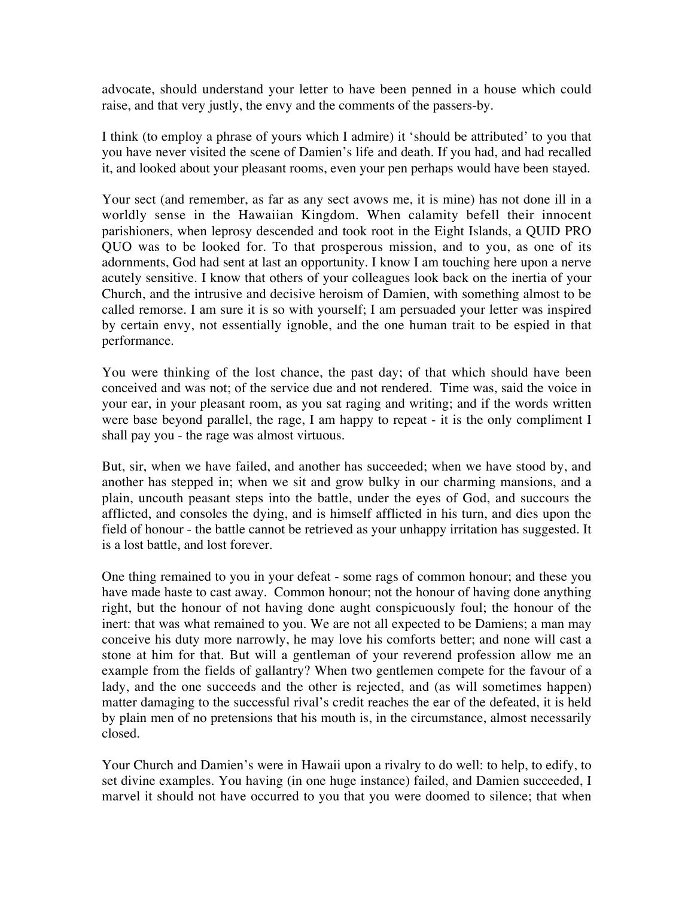advocate, should understand your letter to have been penned in a house which could raise, and that very justly, the envy and the comments of the passers-by.

I think (to employ a phrase of yours which I admire) it 'should be attributed' to you that you have never visited the scene of Damien's life and death. If you had, and had recalled it, and looked about your pleasant rooms, even your pen perhaps would have been stayed.

Your sect (and remember, as far as any sect avows me, it is mine) has not done ill in a worldly sense in the Hawaiian Kingdom. When calamity befell their innocent parishioners, when leprosy descended and took root in the Eight Islands, a QUID PRO QUO was to be looked for. To that prosperous mission, and to you, as one of its adornments, God had sent at last an opportunity. I know I am touching here upon a nerve acutely sensitive. I know that others of your colleagues look back on the inertia of your Church, and the intrusive and decisive heroism of Damien, with something almost to be called remorse. I am sure it is so with yourself; I am persuaded your letter was inspired by certain envy, not essentially ignoble, and the one human trait to be espied in that performance.

You were thinking of the lost chance, the past day; of that which should have been conceived and was not; of the service due and not rendered. Time was, said the voice in your ear, in your pleasant room, as you sat raging and writing; and if the words written were base beyond parallel, the rage, I am happy to repeat - it is the only compliment I shall pay you - the rage was almost virtuous.

But, sir, when we have failed, and another has succeeded; when we have stood by, and another has stepped in; when we sit and grow bulky in our charming mansions, and a plain, uncouth peasant steps into the battle, under the eyes of God, and succours the afflicted, and consoles the dying, and is himself afflicted in his turn, and dies upon the field of honour - the battle cannot be retrieved as your unhappy irritation has suggested. It is a lost battle, and lost forever.

One thing remained to you in your defeat - some rags of common honour; and these you have made haste to cast away. Common honour; not the honour of having done anything right, but the honour of not having done aught conspicuously foul; the honour of the inert: that was what remained to you. We are not all expected to be Damiens; a man may conceive his duty more narrowly, he may love his comforts better; and none will cast a stone at him for that. But will a gentleman of your reverend profession allow me an example from the fields of gallantry? When two gentlemen compete for the favour of a lady, and the one succeeds and the other is rejected, and (as will sometimes happen) matter damaging to the successful rival's credit reaches the ear of the defeated, it is held by plain men of no pretensions that his mouth is, in the circumstance, almost necessarily closed.

Your Church and Damien's were in Hawaii upon a rivalry to do well: to help, to edify, to set divine examples. You having (in one huge instance) failed, and Damien succeeded, I marvel it should not have occurred to you that you were doomed to silence; that when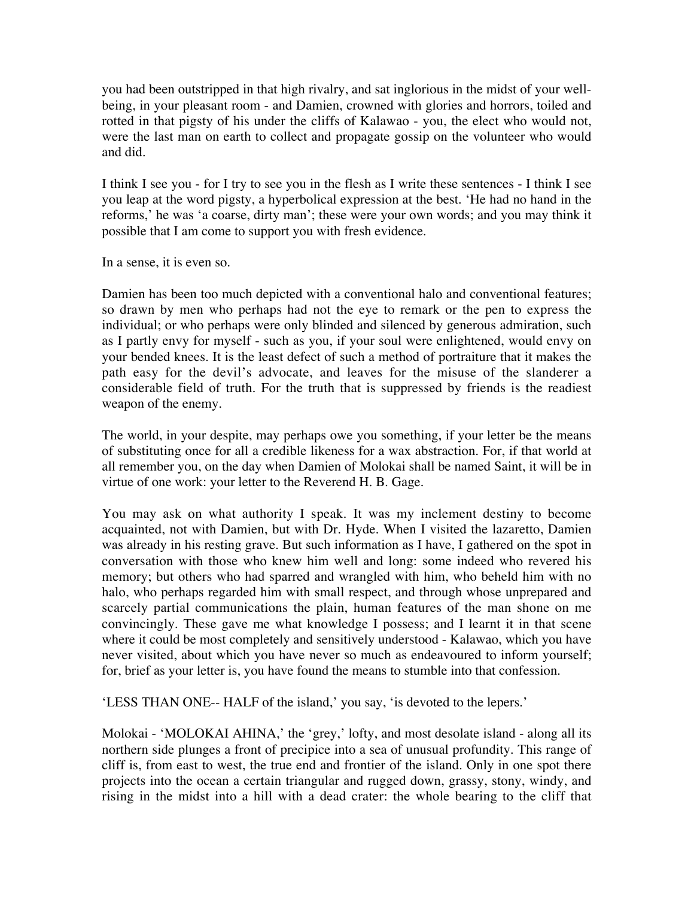you had been outstripped in that high rivalry, and sat inglorious in the midst of your wellbeing, in your pleasant room - and Damien, crowned with glories and horrors, toiled and rotted in that pigsty of his under the cliffs of Kalawao - you, the elect who would not, were the last man on earth to collect and propagate gossip on the volunteer who would and did.

I think I see you - for I try to see you in the flesh as I write these sentences - I think I see you leap at the word pigsty, a hyperbolical expression at the best. 'He had no hand in the reforms,' he was 'a coarse, dirty man'; these were your own words; and you may think it possible that I am come to support you with fresh evidence.

In a sense, it is even so.

Damien has been too much depicted with a conventional halo and conventional features; so drawn by men who perhaps had not the eye to remark or the pen to express the individual; or who perhaps were only blinded and silenced by generous admiration, such as I partly envy for myself - such as you, if your soul were enlightened, would envy on your bended knees. It is the least defect of such a method of portraiture that it makes the path easy for the devil's advocate, and leaves for the misuse of the slanderer a considerable field of truth. For the truth that is suppressed by friends is the readiest weapon of the enemy.

The world, in your despite, may perhaps owe you something, if your letter be the means of substituting once for all a credible likeness for a wax abstraction. For, if that world at all remember you, on the day when Damien of Molokai shall be named Saint, it will be in virtue of one work: your letter to the Reverend H. B. Gage.

You may ask on what authority I speak. It was my inclement destiny to become acquainted, not with Damien, but with Dr. Hyde. When I visited the lazaretto, Damien was already in his resting grave. But such information as I have, I gathered on the spot in conversation with those who knew him well and long: some indeed who revered his memory; but others who had sparred and wrangled with him, who beheld him with no halo, who perhaps regarded him with small respect, and through whose unprepared and scarcely partial communications the plain, human features of the man shone on me convincingly. These gave me what knowledge I possess; and I learnt it in that scene where it could be most completely and sensitively understood - Kalawao, which you have never visited, about which you have never so much as endeavoured to inform yourself; for, brief as your letter is, you have found the means to stumble into that confession.

'LESS THAN ONE-- HALF of the island,' you say, 'is devoted to the lepers.'

Molokai - 'MOLOKAI AHINA,' the 'grey,' lofty, and most desolate island - along all its northern side plunges a front of precipice into a sea of unusual profundity. This range of cliff is, from east to west, the true end and frontier of the island. Only in one spot there projects into the ocean a certain triangular and rugged down, grassy, stony, windy, and rising in the midst into a hill with a dead crater: the whole bearing to the cliff that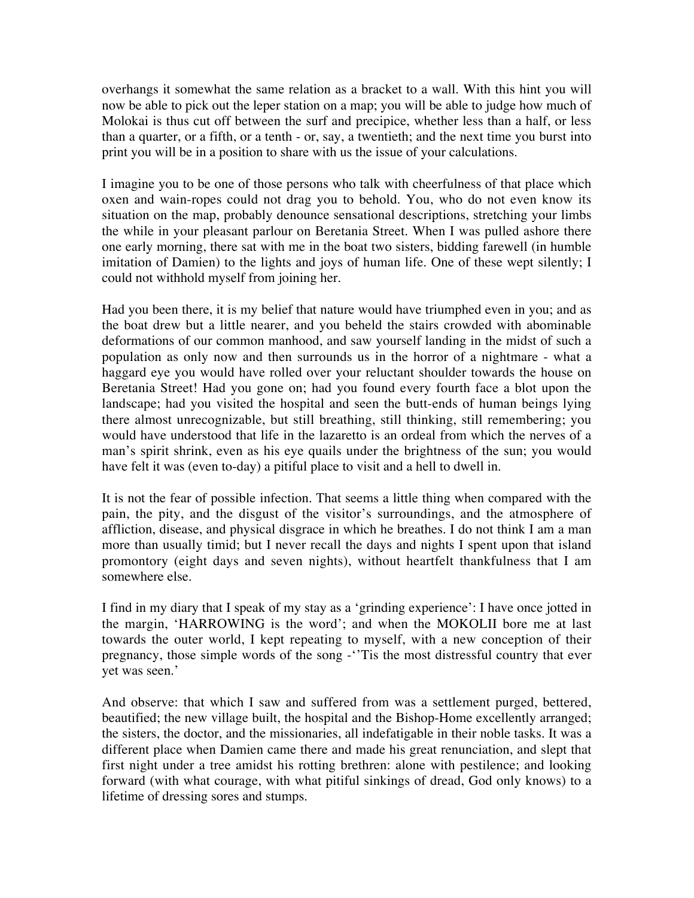overhangs it somewhat the same relation as a bracket to a wall. With this hint you will now be able to pick out the leper station on a map; you will be able to judge how much of Molokai is thus cut off between the surf and precipice, whether less than a half, or less than a quarter, or a fifth, or a tenth - or, say, a twentieth; and the next time you burst into print you will be in a position to share with us the issue of your calculations.

I imagine you to be one of those persons who talk with cheerfulness of that place which oxen and wain-ropes could not drag you to behold. You, who do not even know its situation on the map, probably denounce sensational descriptions, stretching your limbs the while in your pleasant parlour on Beretania Street. When I was pulled ashore there one early morning, there sat with me in the boat two sisters, bidding farewell (in humble imitation of Damien) to the lights and joys of human life. One of these wept silently; I could not withhold myself from joining her.

Had you been there, it is my belief that nature would have triumphed even in you; and as the boat drew but a little nearer, and you beheld the stairs crowded with abominable deformations of our common manhood, and saw yourself landing in the midst of such a population as only now and then surrounds us in the horror of a nightmare - what a haggard eye you would have rolled over your reluctant shoulder towards the house on Beretania Street! Had you gone on; had you found every fourth face a blot upon the landscape; had you visited the hospital and seen the butt-ends of human beings lying there almost unrecognizable, but still breathing, still thinking, still remembering; you would have understood that life in the lazaretto is an ordeal from which the nerves of a man's spirit shrink, even as his eye quails under the brightness of the sun; you would have felt it was (even to-day) a pitiful place to visit and a hell to dwell in.

It is not the fear of possible infection. That seems a little thing when compared with the pain, the pity, and the disgust of the visitor's surroundings, and the atmosphere of affliction, disease, and physical disgrace in which he breathes. I do not think I am a man more than usually timid; but I never recall the days and nights I spent upon that island promontory (eight days and seven nights), without heartfelt thankfulness that I am somewhere else.

I find in my diary that I speak of my stay as a 'grinding experience': I have once jotted in the margin, 'HARROWING is the word'; and when the MOKOLII bore me at last towards the outer world, I kept repeating to myself, with a new conception of their pregnancy, those simple words of the song -''Tis the most distressful country that ever yet was seen.'

And observe: that which I saw and suffered from was a settlement purged, bettered, beautified; the new village built, the hospital and the Bishop-Home excellently arranged; the sisters, the doctor, and the missionaries, all indefatigable in their noble tasks. It was a different place when Damien came there and made his great renunciation, and slept that first night under a tree amidst his rotting brethren: alone with pestilence; and looking forward (with what courage, with what pitiful sinkings of dread, God only knows) to a lifetime of dressing sores and stumps.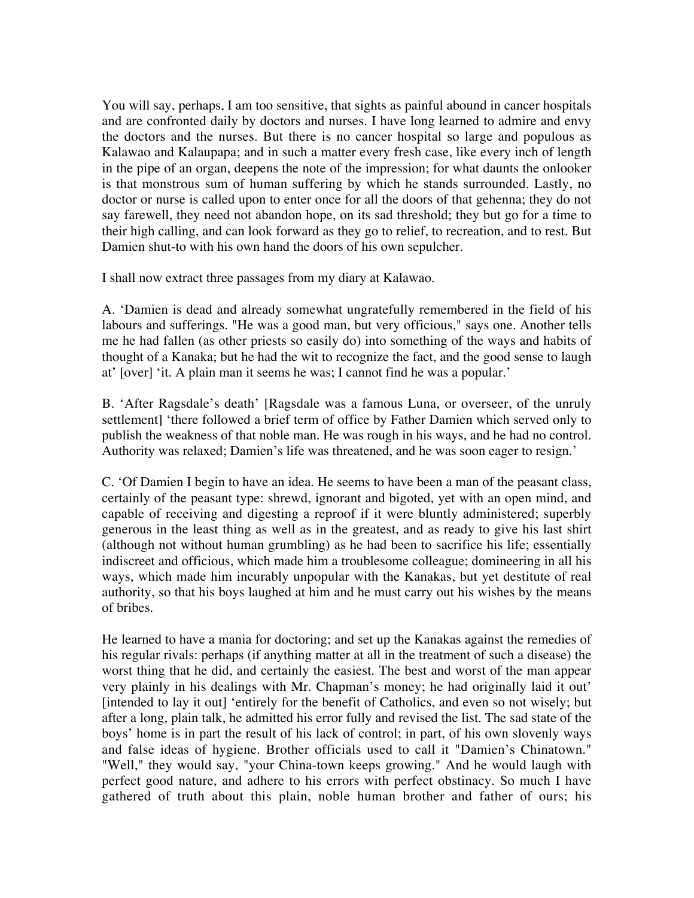You will say, perhaps, I am too sensitive, that sights as painful abound in cancer hospitals and are confronted daily by doctors and nurses. I have long learned to admire and envy the doctors and the nurses. But there is no cancer hospital so large and populous as Kalawao and Kalaupapa; and in such a matter every fresh case, like every inch of length in the pipe of an organ, deepens the note of the impression; for what daunts the onlooker is that monstrous sum of human suffering by which he stands surrounded. Lastly, no doctor or nurse is called upon to enter once for all the doors of that gehenna; they do not say farewell, they need not abandon hope, on its sad threshold; they but go for a time to their high calling, and can look forward as they go to relief, to recreation, and to rest. But Damien shut-to with his own hand the doors of his own sepulcher.

I shall now extract three passages from my diary at Kalawao.

A. 'Damien is dead and already somewhat ungratefully remembered in the field of his labours and sufferings. "He was a good man, but very officious," says one. Another tells me he had fallen (as other priests so easily do) into something of the ways and habits of thought of a Kanaka; but he had the wit to recognize the fact, and the good sense to laugh at' [over] 'it. A plain man it seems he was; I cannot find he was a popular.'

B. 'After Ragsdale's death' [Ragsdale was a famous Luna, or overseer, of the unruly settlement] 'there followed a brief term of office by Father Damien which served only to publish the weakness of that noble man. He was rough in his ways, and he had no control. Authority was relaxed; Damien's life was threatened, and he was soon eager to resign.'

C. 'Of Damien I begin to have an idea. He seems to have been a man of the peasant class, certainly of the peasant type: shrewd, ignorant and bigoted, yet with an open mind, and capable of receiving and digesting a reproof if it were bluntly administered; superbly generous in the least thing as well as in the greatest, and as ready to give his last shirt (although not without human grumbling) as he had been to sacrifice his life; essentially indiscreet and officious, which made him a troublesome colleague; domineering in all his ways, which made him incurably unpopular with the Kanakas, but yet destitute of real authority, so that his boys laughed at him and he must carry out his wishes by the means of bribes.

He learned to have a mania for doctoring; and set up the Kanakas against the remedies of his regular rivals: perhaps (if anything matter at all in the treatment of such a disease) the worst thing that he did, and certainly the easiest. The best and worst of the man appear very plainly in his dealings with Mr. Chapman's money; he had originally laid it out' [intended to lay it out] 'entirely for the benefit of Catholics, and even so not wisely; but after a long, plain talk, he admitted his error fully and revised the list. The sad state of the boys' home is in part the result of his lack of control; in part, of his own slovenly ways and false ideas of hygiene. Brother officials used to call it "Damien's Chinatown." "Well," they would say, "your China-town keeps growing." And he would laugh with perfect good nature, and adhere to his errors with perfect obstinacy. So much I have gathered of truth about this plain, noble human brother and father of ours; his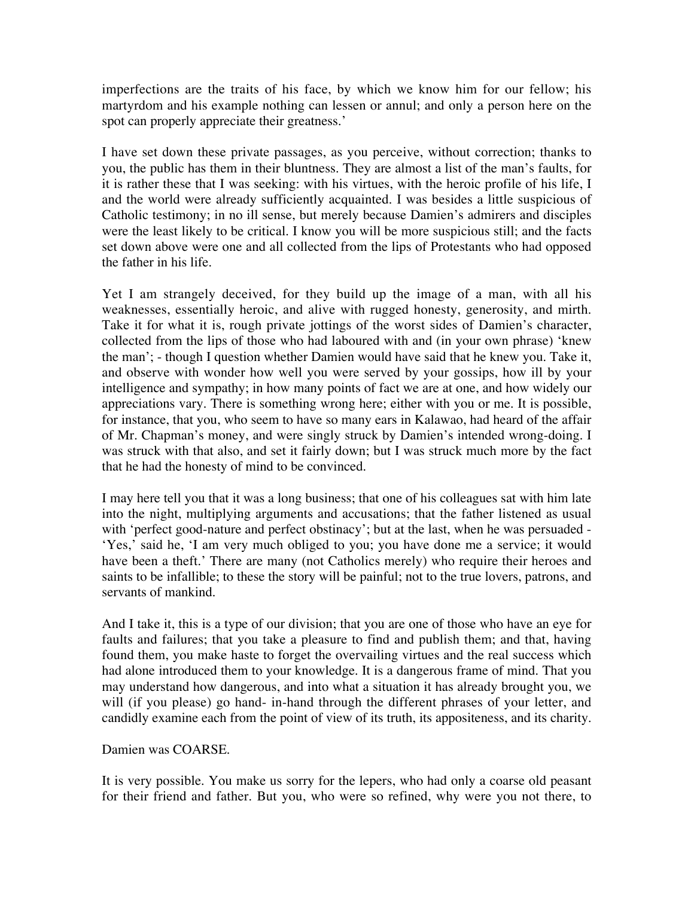imperfections are the traits of his face, by which we know him for our fellow; his martyrdom and his example nothing can lessen or annul; and only a person here on the spot can properly appreciate their greatness.'

I have set down these private passages, as you perceive, without correction; thanks to you, the public has them in their bluntness. They are almost a list of the man's faults, for it is rather these that I was seeking: with his virtues, with the heroic profile of his life, I and the world were already sufficiently acquainted. I was besides a little suspicious of Catholic testimony; in no ill sense, but merely because Damien's admirers and disciples were the least likely to be critical. I know you will be more suspicious still; and the facts set down above were one and all collected from the lips of Protestants who had opposed the father in his life.

Yet I am strangely deceived, for they build up the image of a man, with all his weaknesses, essentially heroic, and alive with rugged honesty, generosity, and mirth. Take it for what it is, rough private jottings of the worst sides of Damien's character, collected from the lips of those who had laboured with and (in your own phrase) 'knew the man'; - though I question whether Damien would have said that he knew you. Take it, and observe with wonder how well you were served by your gossips, how ill by your intelligence and sympathy; in how many points of fact we are at one, and how widely our appreciations vary. There is something wrong here; either with you or me. It is possible, for instance, that you, who seem to have so many ears in Kalawao, had heard of the affair of Mr. Chapman's money, and were singly struck by Damien's intended wrong-doing. I was struck with that also, and set it fairly down; but I was struck much more by the fact that he had the honesty of mind to be convinced.

I may here tell you that it was a long business; that one of his colleagues sat with him late into the night, multiplying arguments and accusations; that the father listened as usual with 'perfect good-nature and perfect obstinacy'; but at the last, when he was persuaded - 'Yes,' said he, 'I am very much obliged to you; you have done me a service; it would have been a theft.' There are many (not Catholics merely) who require their heroes and saints to be infallible; to these the story will be painful; not to the true lovers, patrons, and servants of mankind.

And I take it, this is a type of our division; that you are one of those who have an eye for faults and failures; that you take a pleasure to find and publish them; and that, having found them, you make haste to forget the overvailing virtues and the real success which had alone introduced them to your knowledge. It is a dangerous frame of mind. That you may understand how dangerous, and into what a situation it has already brought you, we will (if you please) go hand- in-hand through the different phrases of your letter, and candidly examine each from the point of view of its truth, its appositeness, and its charity.

## Damien was COARSE.

It is very possible. You make us sorry for the lepers, who had only a coarse old peasant for their friend and father. But you, who were so refined, why were you not there, to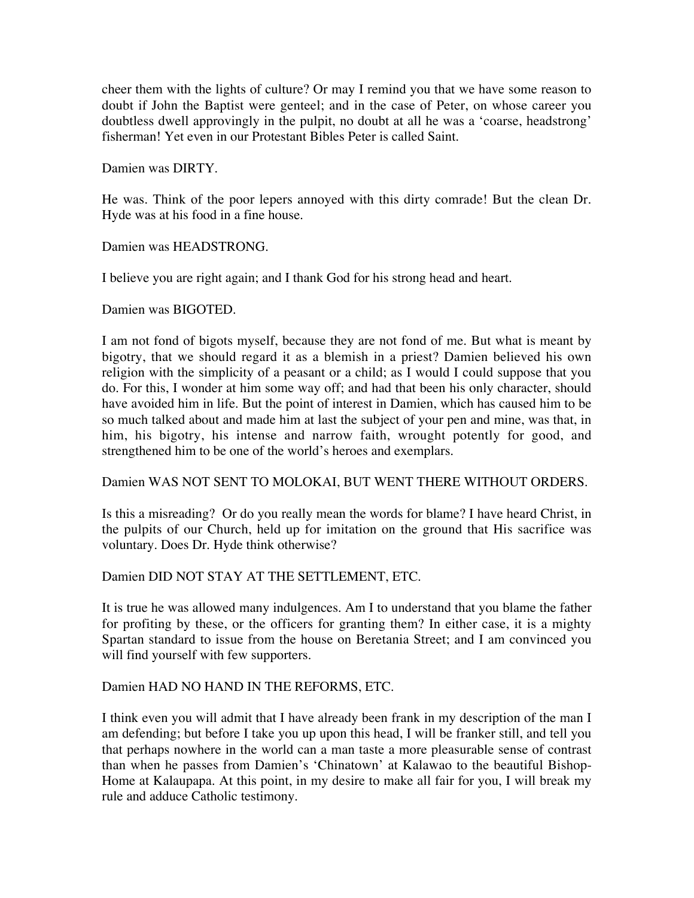cheer them with the lights of culture? Or may I remind you that we have some reason to doubt if John the Baptist were genteel; and in the case of Peter, on whose career you doubtless dwell approvingly in the pulpit, no doubt at all he was a 'coarse, headstrong' fisherman! Yet even in our Protestant Bibles Peter is called Saint.

Damien was DIRTY.

He was. Think of the poor lepers annoyed with this dirty comrade! But the clean Dr. Hyde was at his food in a fine house.

Damien was HEADSTRONG.

I believe you are right again; and I thank God for his strong head and heart.

Damien was BIGOTED.

I am not fond of bigots myself, because they are not fond of me. But what is meant by bigotry, that we should regard it as a blemish in a priest? Damien believed his own religion with the simplicity of a peasant or a child; as I would I could suppose that you do. For this, I wonder at him some way off; and had that been his only character, should have avoided him in life. But the point of interest in Damien, which has caused him to be so much talked about and made him at last the subject of your pen and mine, was that, in him, his bigotry, his intense and narrow faith, wrought potently for good, and strengthened him to be one of the world's heroes and exemplars.

Damien WAS NOT SENT TO MOLOKAI, BUT WENT THERE WITHOUT ORDERS.

Is this a misreading? Or do you really mean the words for blame? I have heard Christ, in the pulpits of our Church, held up for imitation on the ground that His sacrifice was voluntary. Does Dr. Hyde think otherwise?

Damien DID NOT STAY AT THE SETTLEMENT, ETC.

It is true he was allowed many indulgences. Am I to understand that you blame the father for profiting by these, or the officers for granting them? In either case, it is a mighty Spartan standard to issue from the house on Beretania Street; and I am convinced you will find yourself with few supporters.

Damien HAD NO HAND IN THE REFORMS, ETC.

I think even you will admit that I have already been frank in my description of the man I am defending; but before I take you up upon this head, I will be franker still, and tell you that perhaps nowhere in the world can a man taste a more pleasurable sense of contrast than when he passes from Damien's 'Chinatown' at Kalawao to the beautiful Bishop-Home at Kalaupapa. At this point, in my desire to make all fair for you, I will break my rule and adduce Catholic testimony.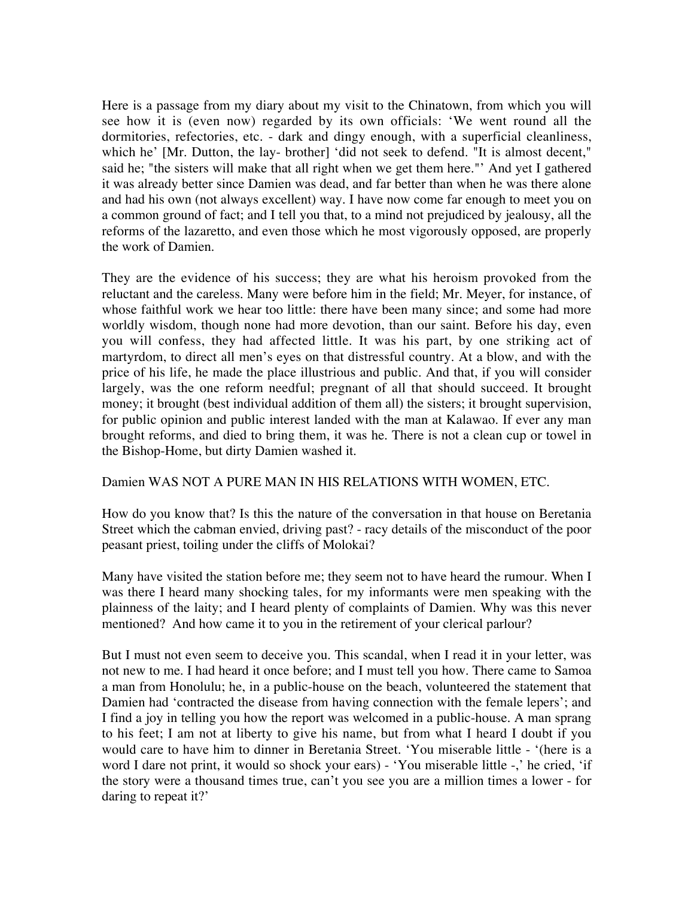Here is a passage from my diary about my visit to the Chinatown, from which you will see how it is (even now) regarded by its own officials: 'We went round all the dormitories, refectories, etc. - dark and dingy enough, with a superficial cleanliness, which he' [Mr. Dutton, the lay- brother] 'did not seek to defend. "It is almost decent," said he; "the sisters will make that all right when we get them here."' And yet I gathered it was already better since Damien was dead, and far better than when he was there alone and had his own (not always excellent) way. I have now come far enough to meet you on a common ground of fact; and I tell you that, to a mind not prejudiced by jealousy, all the reforms of the lazaretto, and even those which he most vigorously opposed, are properly the work of Damien.

They are the evidence of his success; they are what his heroism provoked from the reluctant and the careless. Many were before him in the field; Mr. Meyer, for instance, of whose faithful work we hear too little: there have been many since; and some had more worldly wisdom, though none had more devotion, than our saint. Before his day, even you will confess, they had affected little. It was his part, by one striking act of martyrdom, to direct all men's eyes on that distressful country. At a blow, and with the price of his life, he made the place illustrious and public. And that, if you will consider largely, was the one reform needful; pregnant of all that should succeed. It brought money; it brought (best individual addition of them all) the sisters; it brought supervision, for public opinion and public interest landed with the man at Kalawao. If ever any man brought reforms, and died to bring them, it was he. There is not a clean cup or towel in the Bishop-Home, but dirty Damien washed it.

## Damien WAS NOT A PURE MAN IN HIS RELATIONS WITH WOMEN, ETC.

How do you know that? Is this the nature of the conversation in that house on Beretania Street which the cabman envied, driving past? - racy details of the misconduct of the poor peasant priest, toiling under the cliffs of Molokai?

Many have visited the station before me; they seem not to have heard the rumour. When I was there I heard many shocking tales, for my informants were men speaking with the plainness of the laity; and I heard plenty of complaints of Damien. Why was this never mentioned? And how came it to you in the retirement of your clerical parlour?

But I must not even seem to deceive you. This scandal, when I read it in your letter, was not new to me. I had heard it once before; and I must tell you how. There came to Samoa a man from Honolulu; he, in a public-house on the beach, volunteered the statement that Damien had 'contracted the disease from having connection with the female lepers'; and I find a joy in telling you how the report was welcomed in a public-house. A man sprang to his feet; I am not at liberty to give his name, but from what I heard I doubt if you would care to have him to dinner in Beretania Street. 'You miserable little - '(here is a word I dare not print, it would so shock your ears) - 'You miserable little -,' he cried, 'if the story were a thousand times true, can't you see you are a million times a lower - for daring to repeat it?'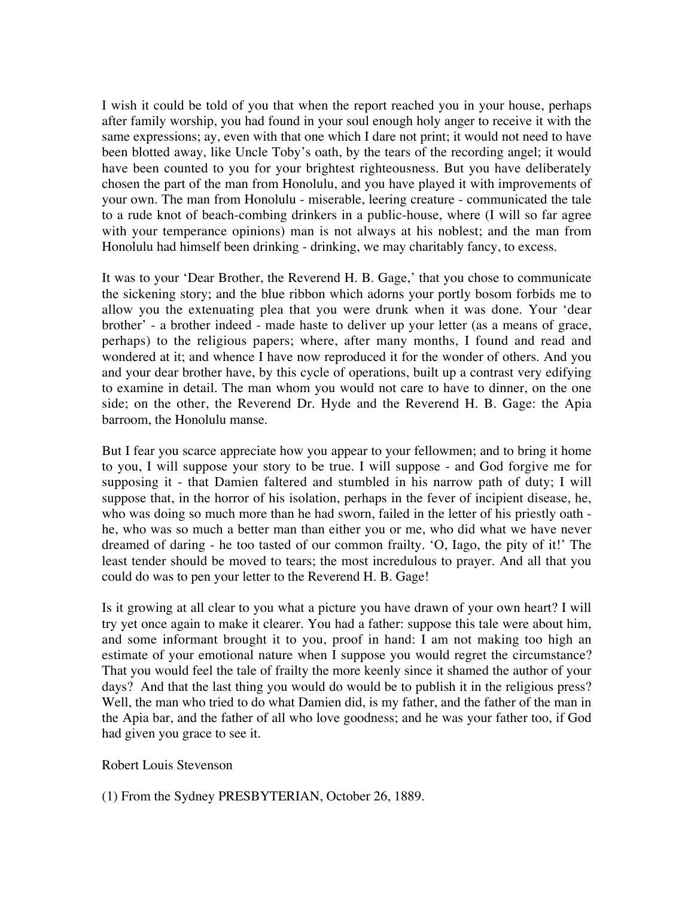I wish it could be told of you that when the report reached you in your house, perhaps after family worship, you had found in your soul enough holy anger to receive it with the same expressions; ay, even with that one which I dare not print; it would not need to have been blotted away, like Uncle Toby's oath, by the tears of the recording angel; it would have been counted to you for your brightest righteousness. But you have deliberately chosen the part of the man from Honolulu, and you have played it with improvements of your own. The man from Honolulu - miserable, leering creature - communicated the tale to a rude knot of beach-combing drinkers in a public-house, where (I will so far agree with your temperance opinions) man is not always at his noblest; and the man from Honolulu had himself been drinking - drinking, we may charitably fancy, to excess.

It was to your 'Dear Brother, the Reverend H. B. Gage,' that you chose to communicate the sickening story; and the blue ribbon which adorns your portly bosom forbids me to allow you the extenuating plea that you were drunk when it was done. Your 'dear brother' - a brother indeed - made haste to deliver up your letter (as a means of grace, perhaps) to the religious papers; where, after many months, I found and read and wondered at it; and whence I have now reproduced it for the wonder of others. And you and your dear brother have, by this cycle of operations, built up a contrast very edifying to examine in detail. The man whom you would not care to have to dinner, on the one side; on the other, the Reverend Dr. Hyde and the Reverend H. B. Gage: the Apia barroom, the Honolulu manse.

But I fear you scarce appreciate how you appear to your fellowmen; and to bring it home to you, I will suppose your story to be true. I will suppose - and God forgive me for supposing it - that Damien faltered and stumbled in his narrow path of duty; I will suppose that, in the horror of his isolation, perhaps in the fever of incipient disease, he, who was doing so much more than he had sworn, failed in the letter of his priestly oath he, who was so much a better man than either you or me, who did what we have never dreamed of daring - he too tasted of our common frailty. 'O, Iago, the pity of it!' The least tender should be moved to tears; the most incredulous to prayer. And all that you could do was to pen your letter to the Reverend H. B. Gage!

Is it growing at all clear to you what a picture you have drawn of your own heart? I will try yet once again to make it clearer. You had a father: suppose this tale were about him, and some informant brought it to you, proof in hand: I am not making too high an estimate of your emotional nature when I suppose you would regret the circumstance? That you would feel the tale of frailty the more keenly since it shamed the author of your days? And that the last thing you would do would be to publish it in the religious press? Well, the man who tried to do what Damien did, is my father, and the father of the man in the Apia bar, and the father of all who love goodness; and he was your father too, if God had given you grace to see it.

## Robert Louis Stevenson

## (1) From the Sydney PRESBYTERIAN, October 26, 1889.